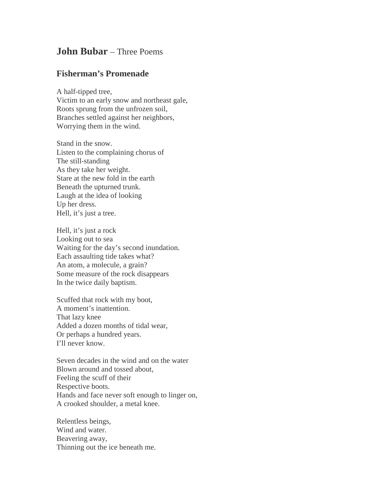## **John Bubar** – Three Poems

## **Fisherman's Promenade**

A half-tipped tree, Victim to an early snow and northeast gale, Roots sprung from the unfrozen soil, Branches settled against her neighbors, Worrying them in the wind.

Stand in the snow. Listen to the complaining chorus of The still-standing As they take her weight. Stare at the new fold in the earth Beneath the upturned trunk. Laugh at the idea of looking Up her dress. Hell, it's just a tree.

Hell, it's just a rock Looking out to sea Waiting for the day's second inundation. Each assaulting tide takes what? An atom, a molecule, a grain? Some measure of the rock disappears In the twice daily baptism.

Scuffed that rock with my boot, A moment's inattention. That lazy knee Added a dozen months of tidal wear, Or perhaps a hundred years. I'll never know.

Seven decades in the wind and on the water Blown around and tossed about, Feeling the scuff of their Respective boots. Hands and face never soft enough to linger on, A crooked shoulder, a metal knee.

Relentless beings, Wind and water. Beavering away, Thinning out the ice beneath me.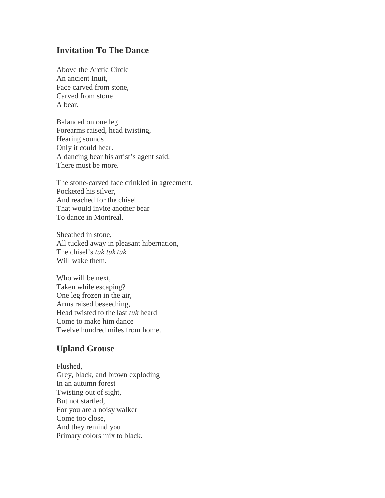## **Invitation To The Dance**

Above the Arctic Circle An ancient Inuit, Face carved from stone, Carved from stone A bear.

Balanced on one leg Forearms raised, head twisting, Hearing sounds Only it could hear. A dancing bear his artist's agent said. There must be more.

The stone-carved face crinkled in agreement, Pocketed his silver, And reached for the chisel That would invite another bear To dance in Montreal.

Sheathed in stone, All tucked away in pleasant hibernation, The chisel's *tuk tuk tuk* Will wake them.

Who will be next, Taken while escaping? One leg frozen in the air, Arms raised beseeching, Head twisted to the last *tuk* heard Come to make him dance Twelve hundred miles from home.

## **Upland Grouse**

Flushed, Grey, black, and brown exploding In an autumn forest Twisting out of sight, But not startled, For you are a noisy walker Come too close, And they remind you Primary colors mix to black.